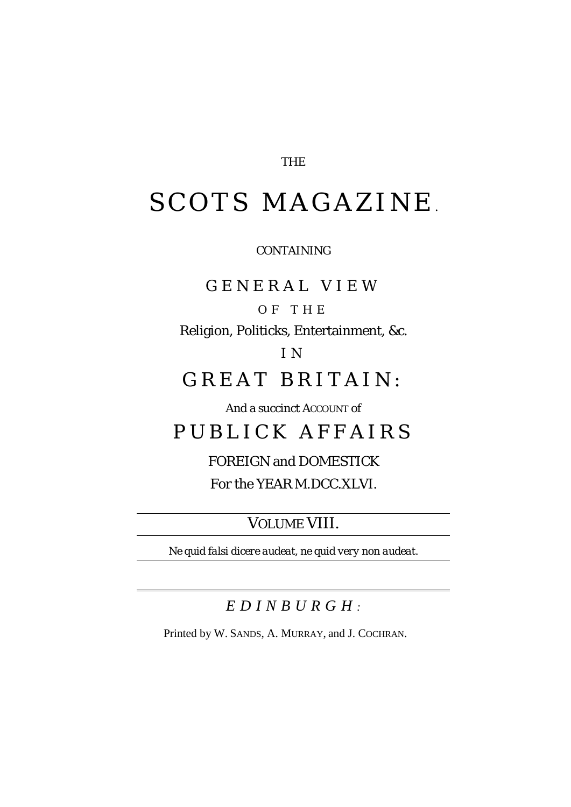#### THE

# SCOTS MAGAZINE *.*

CONTAINING

### GENERAL VIEW

### OF THE

Religion, Politicks, Entertainment, &c.

I N

## *GREAT BRITAIN* :

And a succinct ACCOUNT of

# PUBLICK AFFAIRS

FOREIGN and DOMESTICK For the YEAR M.DCC.XLVI.

### VOLUME VIII.

*Ne quid falsi dicere audeat, ne quid very non audeat.*

### *EDINBURGH :*

Printed by W. SANDS, A. MURRAY, and J. COCHRAN.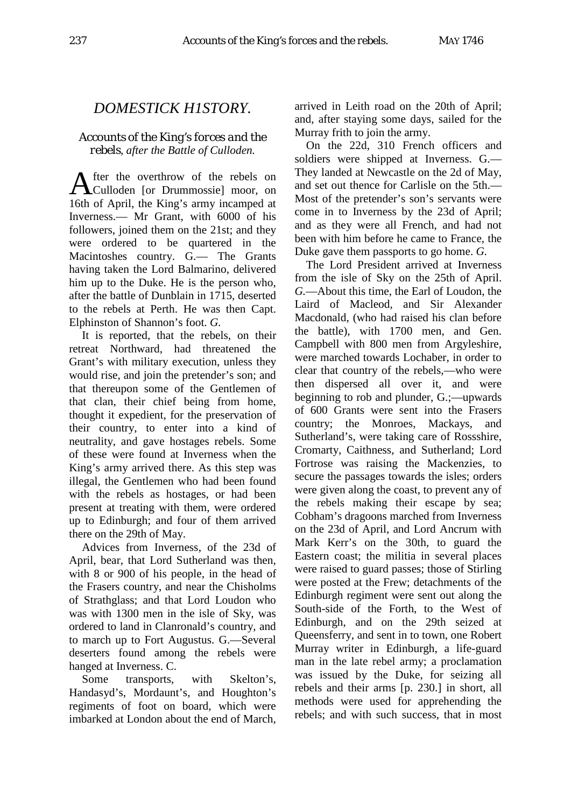### *DOMESTICK H1STORY.*

#### *Accounts of the King's forces and the rebels, after the Battle of Culloden.*

fter the overthrow of the rebels on After the overthrow of the rebels on<br>Culloden [or Drummossie] moor, on 16th of April, the King's army incamped at Inverness.— Mr Grant, with 6000 of his followers, joined them on the 21st; and they were ordered to be quartered in the Macintoshes country. G.— The Grants having taken the Lord Balmarino, delivered him up to the Duke. He is the person who, after the battle of Dunblain in 1715, deserted to the rebels at Perth. He was then Capt. Elphinston of Shannon's foot. *G.*

It is reported, that the rebels, on their retreat Northward, had threatened the Grant's with military execution, unless they would rise, and join the pretender's son; and that thereupon some of the Gentlemen of that clan, their chief being from home, thought it expedient, for the preservation of their country, to enter into a kind of neutrality, and gave hostages rebels. Some of these were found at Inverness when the King's army arrived there. As this step was illegal, the Gentlemen who had been found with the rebels as hostages, or had been present at treating with them, were ordered up to Edinburgh; and four of them arrived there on the 29th of May.

Advices from Inverness, of the 23d of April, bear, that Lord Sutherland was then, with 8 or 900 of his people, in the head of the Frasers country, and near the Chisholms of Strathglass; and that Lord Loudon who was with 1300 men in the isle of Sky, was ordered to land in Clanronald's country, and to march up to Fort Augustus. G.—Several deserters found among the rebels were hanged at Inverness. C.

Some transports, with Skelton's, Handasyd's, Mordaunt's, and Houghton's regiments of foot on board, which were imbarked at London about the end of March, arrived in Leith road on the 20th of April; and, after staying some days, sailed for the Murray frith to join the army.

On the 22d, 310 French officers and soldiers were shipped at Inverness. G.— They landed at Newcastle on the 2d of May, and set out thence for Carlisle on the 5th.— Most of the pretender's son's servants were come in to Inverness by the 23d of April; and as they were all French, and had not been with him before he came to France, the Duke gave them passports to go home. *G.*

The Lord President arrived at Inverness from the isle of Sky on the 25th of April. *G.*—About this time, the Earl of Loudon, the Laird of Macleod, and Sir Alexander Macdonald, (who had raised his clan before the battle), with 1700 men, and Gen. Campbell with 800 men from Argyleshire, were marched towards Lochaber, in order to clear that country of the rebels,—who were then dispersed all over it, and were beginning to rob and plunder, G.;—upwards of 600 Grants were sent into the Frasers country; the Monroes, Mackays, and Sutherland's, were taking care of Rossshire, Cromarty, Caithness, and Sutherland; Lord Fortrose was raising the Mackenzies, to secure the passages towards the isles; orders were given along the coast, to prevent any of the rebels making their escape by sea; Cobham's dragoons marched from Inverness on the 23d of April, and Lord Ancrum with Mark Kerr's on the 30th, to guard the Eastern coast; the militia in several places were raised to guard passes; those of Stirling were posted at the Frew; detachments of the Edinburgh regiment were sent out along the South-side of the Forth, to the West of Edinburgh, and on the 29th seized at Queensferry, and sent in to town, one Robert Murray writer in Edinburgh, a life-guard man in the late rebel army; a proclamation was issued by the Duke, for seizing all rebels and their arms [p. 230.] in short, all methods were used for apprehending the rebels; and with such success, that in most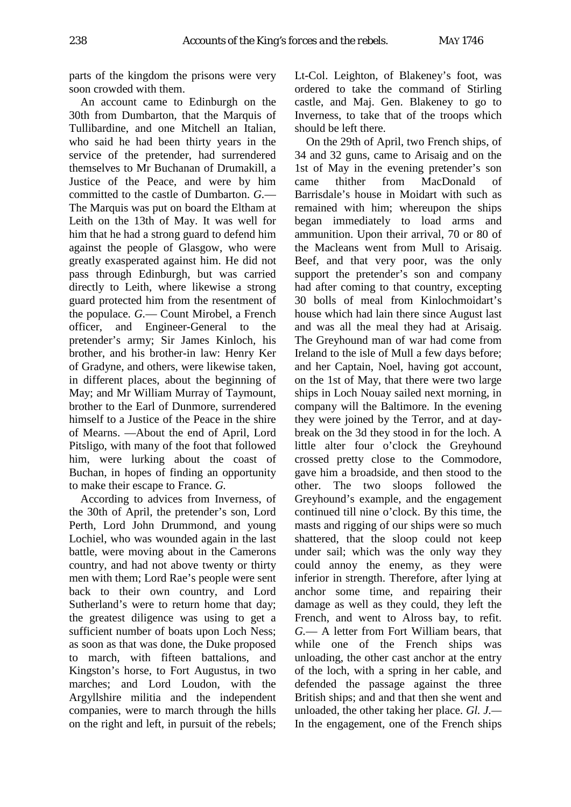parts of the kingdom the prisons were very soon crowded with them.

An account came to Edinburgh on the 30th from Dumbarton, that the Marquis of Tullibardine, and one Mitchell an Italian, who said he had been thirty years in the service of the pretender, had surrendered themselves to Mr Buchanan of Drumakill, a Justice of the Peace, and were by him committed to the castle of Dumbarton. *G.*— The Marquis was put on board the Eltham at Leith on the 13th of May. It was well for him that he had a strong guard to defend him against the people of Glasgow, who were greatly exasperated against him. He did not pass through Edinburgh, but was carried directly to Leith, where likewise a strong guard protected him from the resentment of the populace. *G.*— Count Mirobel, a French officer, and Engineer-General to the pretender's army; Sir James Kinloch, his brother, and his brother-in law: Henry Ker of Gradyne, and others, were likewise taken, in different places, about the beginning of May; and Mr William Murray of Taymount, brother to the Earl of Dunmore, surrendered himself to a Justice of the Peace in the shire of Mearns. —About the end of April, Lord Pitsligo, with many of the foot that followed him, were lurking about the coast of Buchan, in hopes of finding an opportunity to make their escape to France. *G.*

According to advices from Inverness, of the 30th of April, the pretender's son, Lord Perth, Lord John Drummond, and young Lochiel, who was wounded again in the last battle, were moving about in the Camerons country, and had not above twenty or thirty men with them; Lord Rae's people were sent back to their own country, and Lord Sutherland's were to return home that day; the greatest diligence was using to get a sufficient number of boats upon Loch Ness; as soon as that was done, the Duke proposed to march, with fifteen battalions, and Kingston's horse, to Fort Augustus, in two marches; and Lord Loudon, with the Argyllshire militia and the independent companies, were to march through the hills on the right and left, in pursuit of the rebels;

Lt-Col. Leighton, of Blakeney's foot, was ordered to take the command of Stirling castle, and Maj. Gen. Blakeney to go to Inverness, to take that of the troops which should be left there.

On the 29th of April, two French ships, of 34 and 32 guns, came to Arisaig and on the 1st of May in the evening pretender's son came thither from MacDonald of Barrisdale's house in Moidart with such as remained with him; whereupon the ships began immediately to load arms and ammunition. Upon their arrival, 70 or 80 of the Macleans went from Mull to Arisaig. Beef, and that very poor, was the only support the pretender's son and company had after coming to that country, excepting 30 bolls of meal from Kinlochmoidart's house which had lain there since August last and was all the meal they had at Arisaig. The Greyhound man of war had come from Ireland to the isle of Mull a few days before; and her Captain, Noel, having got account, on the 1st of May, that there were two large ships in Loch Nouay sailed next morning, in company will the Baltimore. In the evening they were joined by the Terror, and at daybreak on the 3d they stood in for the loch. A little alter four o'clock the Greyhound crossed pretty close to the Commodore, gave him a broadside, and then stood to the other. The two sloops followed the Greyhound's example, and the engagement continued till nine o'clock. By this time, the masts and rigging of our ships were so much shattered, that the sloop could not keep under sail; which was the only way they could annoy the enemy, as they were inferior in strength. Therefore, after lying at anchor some time, and repairing their damage as well as they could, they left the French, and went to Alross bay, to refit. *G.*— A letter from Fort William bears, that while one of the French ships was unloading, the other cast anchor at the entry of the loch, with a spring in her cable, and defended the passage against the three British ships; and and that then she went and unloaded, the other taking her place. *Gl. J.—* In the engagement, one of the French ships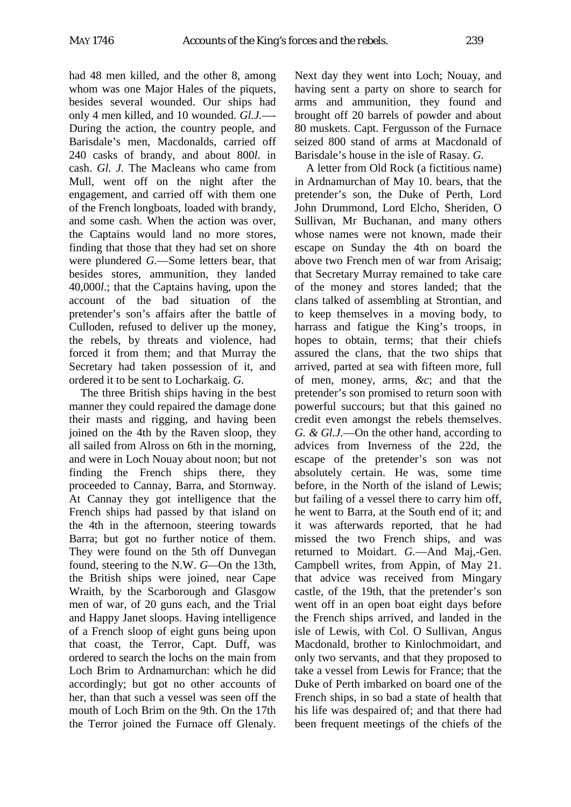had 48 men killed, and the other 8, among whom was one Major Hales of the piquets, besides several wounded. Our ships had only 4 men killed, and 10 wounded. *Gl.J.—-* During the action, the country people, and Barisdale's men, Macdonalds, carried off 240 casks of brandy, and about 800*l*. in cash. *Gl. J.* The Macleans who came from Mull, went off on the night after the engagement, and carried off with them one of the French longboats, loaded with brandy, and some cash. When the action was over, the Captains would land no more stores, finding that those that they had set on shore were plundered *G.*—Some letters bear, that besides stores, ammunition, they landed 40,000*l*.; that the Captains having, upon the account of the bad situation of the pretender's son's affairs after the battle of Culloden, refused to deliver up the money, the rebels, by threats and violence, had forced it from them; and that Murray the Secretary had taken possession of it, and ordered it to be sent to Locharkaig. *G.*

The three British ships having in the best manner they could repaired the damage done their masts and rigging, and having been joined on the 4th by the Raven sloop, they all sailed from Alross on 6th in the morning, and were in Loch Nouay about noon; but not finding the French ships there, they proceeded to Cannay, Barra, and Stornway. At Cannay they got intelligence that the French ships had passed by that island on the 4th in the afternoon, steering towards Barra; but got no further notice of them. They were found on the 5th off Dunvegan found, steering to the N.W. *G—*On the 13th, the British ships were joined, near Cape Wraith, by the Scarborough and Glasgow men of war, of 20 guns each, and the Trial and Happy Janet sloops. Having intelligence of a French sloop of eight guns being upon that coast, the Terror, Capt. Duff, was ordered to search the lochs on the main from Loch Brim to Ardnamurchan: which he did accordingly; but got no other accounts of her, than that such a vessel was seen off the mouth of Loch Brim on the 9th. On the 17th the Terror joined the Furnace off Glenaly.

Next day they went into Loch; Nouay, and having sent a party on shore to search for arms and ammunition, they found and brought off 20 barrels of powder and about 80 muskets. Capt. Fergusson of the Furnace seized 800 stand of arms at Macdonald of Barisdale's house in the isle of Rasay. *G.*

A letter from Old Rock (a fictitious name) in Ardnamurchan of May 10. bears, that the pretender's son, the Duke of Perth, Lord John Drummond, Lord Elcho, Sheriden, O Sullivan, Mr Buchanan, and many others whose names were not known, made their escape on Sunday the 4th on board the above two French men of war from Arisaig; that Secretary Murray remained to take care of the money and stores landed; that the clans talked of assembling at Strontian, and to keep themselves in a moving body, to harrass and fatigue the King's troops, in hopes to obtain, terms; that their chiefs assured the clans, that the two ships that arrived, parted at sea with fifteen more, full of men, money, arms, *&c*; and that the pretender's son promised to return soon with powerful succours; but that this gained no credit even amongst the rebels themselves. *G. & Gl.J.*—On the other hand, according to advices from Inverness of the 22d, the escape of the pretender's son was not absolutely certain. He was, some time before, in the North of the island of Lewis; but failing of a vessel there to carry him off, he went to Barra, at the South end of it; and it was afterwards reported, that he had missed the two French ships, and was returned to Moidart. *G.*—And Maj,-Gen. Campbell writes, from Appin, of May 21. that advice was received from Mingary castle, of the 19th, that the pretender's son went off in an open boat eight days before the French ships arrived, and landed in the isle of Lewis, with Col. O Sullivan, Angus Macdonald, brother to Kinlochmoidart, and only two servants, and that they proposed to take a vessel from Lewis for France; that the Duke of Perth imbarked on board one of the French ships, in so bad a state of health that his life was despaired of; and that there had been frequent meetings of the chiefs of the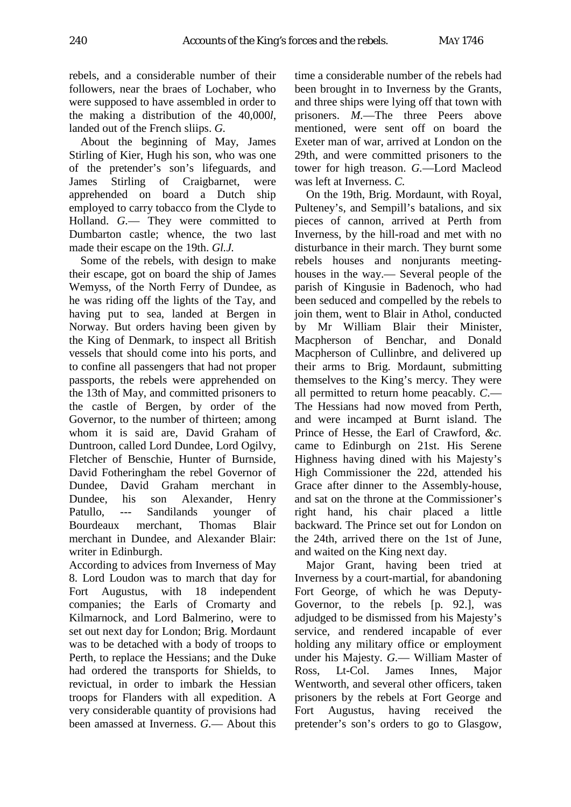rebels, and a considerable number of their followers, near the braes of Lochaber, who were supposed to have assembled in order to the making a distribution of the 40,000*l*, landed out of the French sliips. *G.*

About the beginning of May, James Stirling of Kier, Hugh his son, who was one of the pretender's son's lifeguards, and James Stirling of Craigbarnet, were apprehended on board a Dutch ship employed to carry tobacco from the Clyde to Holland. *G.*— They were committed to Dumbarton castle; whence, the two last made their escape on the 19th. *Gl.J.*

Some of the rebels, with design to make their escape, got on board the ship of James Wemyss, of the North Ferry of Dundee, as he was riding off the lights of the Tay, and having put to sea, landed at Bergen in Norway. But orders having been given by the King of Denmark, to inspect all British vessels that should come into his ports, and to confine all passengers that had not proper passports, the rebels were apprehended on the 13th of May, and committed prisoners to the castle of Bergen, by order of the Governor, to the number of thirteen; among whom it is said are, David Graham of Duntroon, called Lord Dundee, Lord Ogilvy, Fletcher of Benschie, Hunter of Burnside, David Fotheringham the rebel Governor of Dundee, David Graham merchant in Dundee, his son Alexander, Henry Patullo, --- Sandilands younger of Bourdeaux merchant, Thomas Blair merchant in Dundee, and Alexander Blair: writer in Edinburgh.

According to advices from Inverness of May 8. Lord Loudon was to march that day for Fort Augustus, with 18 independent companies; the Earls of Cromarty and Kilmarnock, and Lord Balmerino, were to set out next day for London; Brig. Mordaunt was to be detached with a body of troops to Perth, to replace the Hessians; and the Duke had ordered the transports for Shields, to revictual, in order to imbark the Hessian troops for Flanders with all expedition. A very considerable quantity of provisions had been amassed at Inverness. *G.*— About this

time a considerable number of the rebels had been brought in to Inverness by the Grants, and three ships were lying off that town with prisoners. *M.*—The three Peers above mentioned, were sent off on board the Exeter man of war, arrived at London on the 29th, and were committed prisoners to the tower for high treason. *G.*—Lord Macleod was left at Inverness. *C.*

On the 19th, Brig. Mordaunt, with Royal, Pulteney's, and Sempill's batalions, and six pieces of cannon, arrived at Perth from Inverness, by the hill-road and met with no disturbance in their march. They burnt some rebels houses and nonjurants meetinghouses in the way.— Several people of the parish of Kingusie in Badenoch, who had been seduced and compelled by the rebels to join them, went to Blair in Athol, conducted by Mr William Blair their Minister, Macpherson of Benchar, and Donald Macpherson of Cullinbre, and delivered up their arms to Brig. Mordaunt, submitting themselves to the King's mercy. They were all permitted to return home peacably. *C*.— The Hessians had now moved from Perth, and were incamped at Burnt island. The Prince of Hesse, the Earl of Crawford, *&c.* came to Edinburgh on 21st. His Serene Highness having dined with his Majesty's High Commissioner the 22d, attended his Grace after dinner to the Assembly-house, and sat on the throne at the Commissioner's right hand, his chair placed a little backward. The Prince set out for London on the 24th, arrived there on the 1st of June, and waited on the King next day.

Major Grant, having been tried at Inverness by a court-martial, for abandoning Fort George, of which he was Deputy-Governor, to the rebels [p*.* 92.], was adjudged to be dismissed from his Majesty's service, and rendered incapable of ever holding any military office or employment under his Majesty. *G.*— William Master of Ross, Lt-Col. James Innes, Major Wentworth, and several other officers, taken prisoners by the rebels at Fort George and Fort Augustus, having received the pretender's son's orders to go to Glasgow,